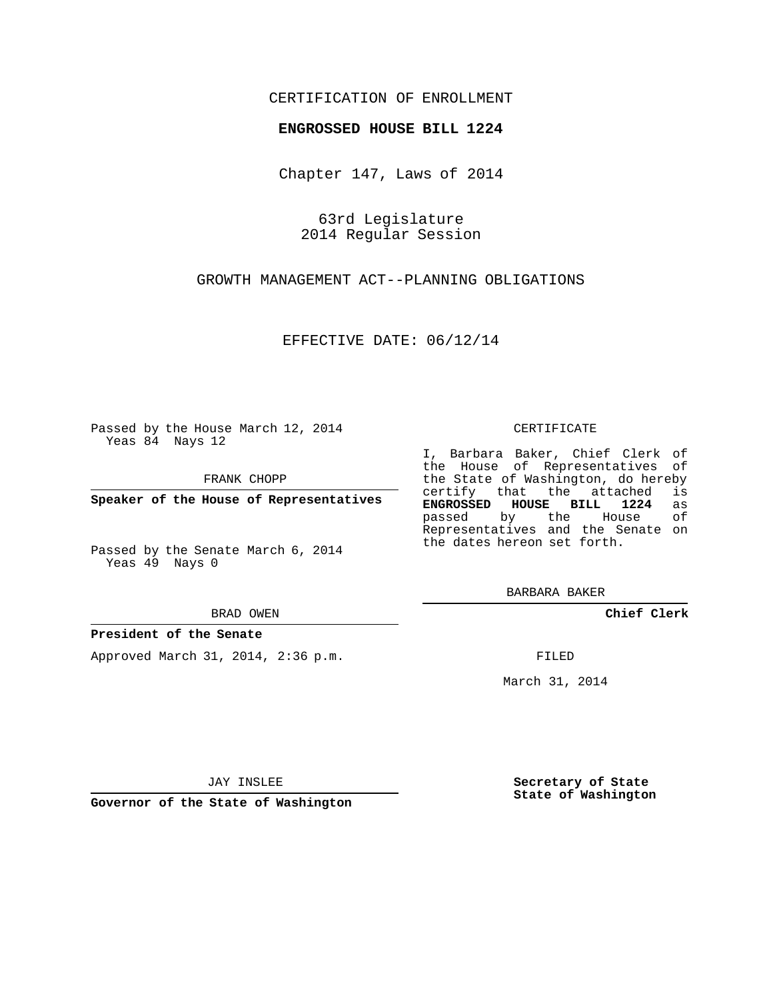## CERTIFICATION OF ENROLLMENT

## **ENGROSSED HOUSE BILL 1224**

Chapter 147, Laws of 2014

63rd Legislature 2014 Regular Session

GROWTH MANAGEMENT ACT--PLANNING OBLIGATIONS

EFFECTIVE DATE: 06/12/14

Passed by the House March 12, 2014 Yeas 84 Nays 12

FRANK CHOPP

**Speaker of the House of Representatives**

Passed by the Senate March 6, 2014 Yeas 49 Nays 0

BRAD OWEN

## **President of the Senate**

Approved March 31, 2014, 2:36 p.m.

CERTIFICATE

I, Barbara Baker, Chief Clerk of the House of Representatives of the State of Washington, do hereby<br>certify that the attached is certify that the attached **ENGROSSED HOUSE BILL 1224** as passed by the House Representatives and the Senate on the dates hereon set forth.

BARBARA BAKER

**Chief Clerk**

FILED

March 31, 2014

JAY INSLEE

**Governor of the State of Washington**

**Secretary of State State of Washington**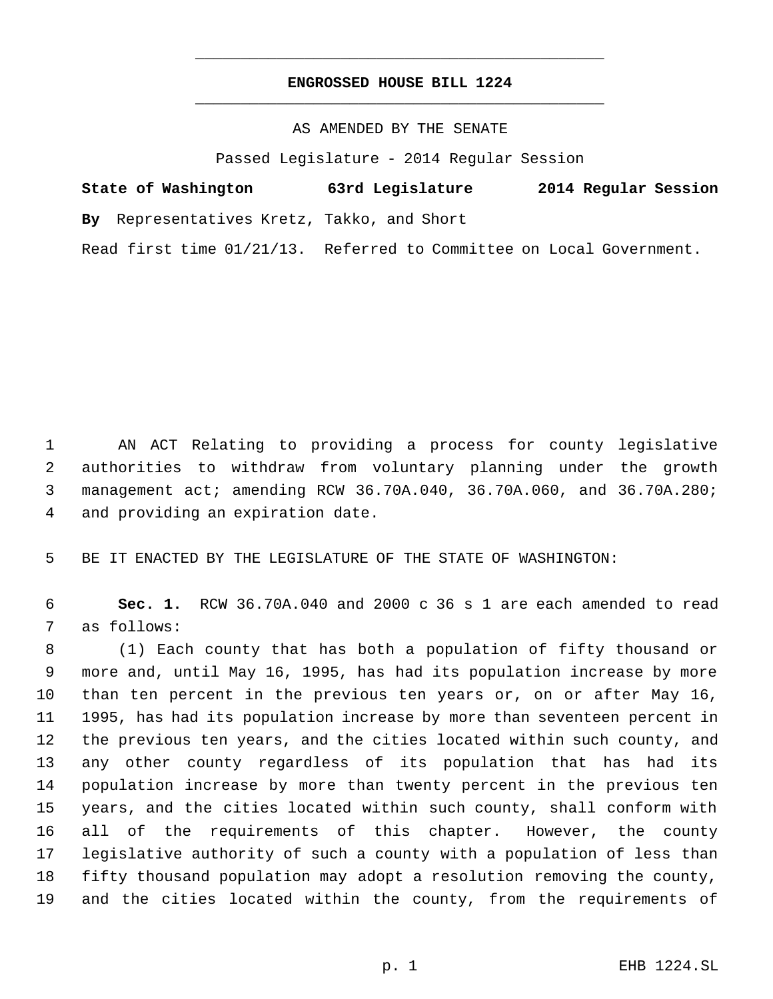## **ENGROSSED HOUSE BILL 1224** \_\_\_\_\_\_\_\_\_\_\_\_\_\_\_\_\_\_\_\_\_\_\_\_\_\_\_\_\_\_\_\_\_\_\_\_\_\_\_\_\_\_\_\_\_

\_\_\_\_\_\_\_\_\_\_\_\_\_\_\_\_\_\_\_\_\_\_\_\_\_\_\_\_\_\_\_\_\_\_\_\_\_\_\_\_\_\_\_\_\_

AS AMENDED BY THE SENATE

Passed Legislature - 2014 Regular Session

| State of Washington |                                            | 63rd Legislature                                                     | 2014 Regular Session |
|---------------------|--------------------------------------------|----------------------------------------------------------------------|----------------------|
|                     | By Representatives Kretz, Takko, and Short |                                                                      |                      |
|                     |                                            | Read first time 01/21/13. Referred to Committee on Local Government. |                      |

 AN ACT Relating to providing a process for county legislative authorities to withdraw from voluntary planning under the growth management act; amending RCW 36.70A.040, 36.70A.060, and 36.70A.280; and providing an expiration date.

BE IT ENACTED BY THE LEGISLATURE OF THE STATE OF WASHINGTON:

 **Sec. 1.** RCW 36.70A.040 and 2000 c 36 s 1 are each amended to read as follows:

 (1) Each county that has both a population of fifty thousand or more and, until May 16, 1995, has had its population increase by more than ten percent in the previous ten years or, on or after May 16, 1995, has had its population increase by more than seventeen percent in the previous ten years, and the cities located within such county, and any other county regardless of its population that has had its population increase by more than twenty percent in the previous ten years, and the cities located within such county, shall conform with all of the requirements of this chapter. However, the county legislative authority of such a county with a population of less than fifty thousand population may adopt a resolution removing the county, and the cities located within the county, from the requirements of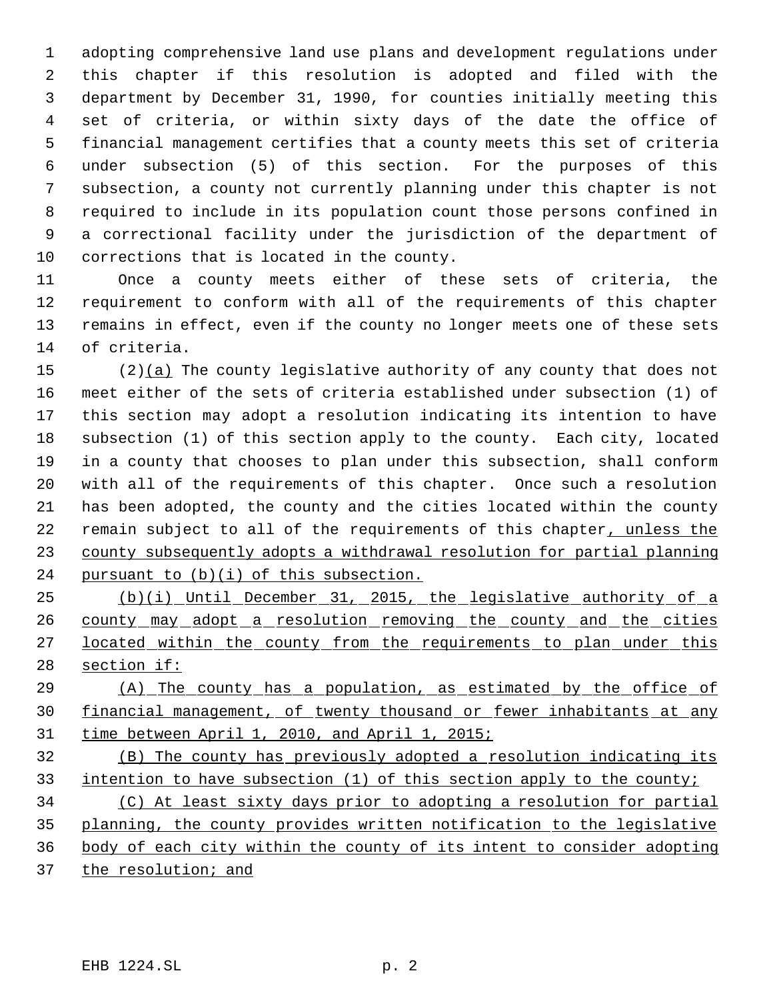adopting comprehensive land use plans and development regulations under this chapter if this resolution is adopted and filed with the department by December 31, 1990, for counties initially meeting this set of criteria, or within sixty days of the date the office of financial management certifies that a county meets this set of criteria under subsection (5) of this section. For the purposes of this subsection, a county not currently planning under this chapter is not required to include in its population count those persons confined in a correctional facility under the jurisdiction of the department of corrections that is located in the county.

 Once a county meets either of these sets of criteria, the requirement to conform with all of the requirements of this chapter remains in effect, even if the county no longer meets one of these sets of criteria.

 (2)(a) The county legislative authority of any county that does not meet either of the sets of criteria established under subsection (1) of this section may adopt a resolution indicating its intention to have subsection (1) of this section apply to the county. Each city, located in a county that chooses to plan under this subsection, shall conform with all of the requirements of this chapter. Once such a resolution has been adopted, the county and the cities located within the county 22 remain subject to all of the requirements of this chapter, unless the county subsequently adopts a withdrawal resolution for partial planning 24 pursuant to (b)(i) of this subsection.

 (b)(i) Until December 31, 2015, the legislative authority of a 26 county may adopt a resolution removing the county and the cities 27 located within the county from the requirements to plan under this 28 section if:

 (A) The county has a population, as estimated by the office of financial management, of twenty thousand or fewer inhabitants at any time between April 1, 2010, and April 1, 2015;

 (B) The county has previously adopted a resolution indicating its intention to have subsection (1) of this section apply to the county;

 (C) At least sixty days prior to adopting a resolution for partial planning, the county provides written notification to the legislative body of each city within the county of its intent to consider adopting 37 the resolution; and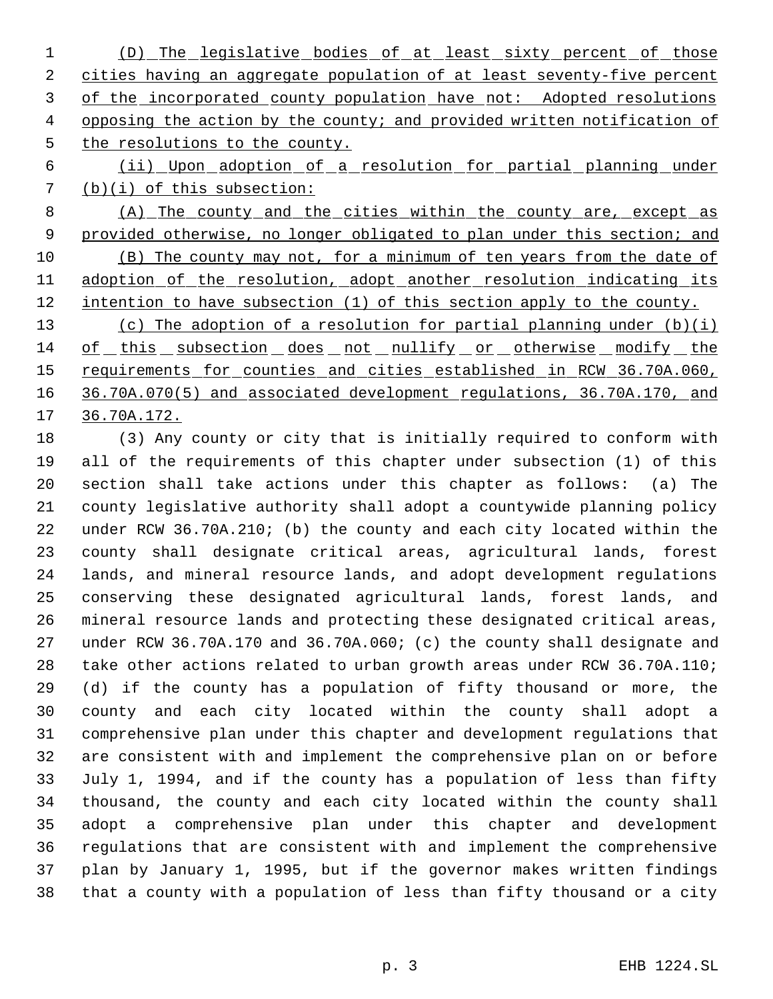- (D) The legislative bodies of at least sixty percent of those 2 cities having an aggregate population of at least seventy-five percent 3 of the incorporated county population have not: Adopted resolutions 4 opposing the action by the county; and provided written notification of 5 the resolutions to the county.
- (ii) Upon adoption of a resolution for partial planning under (b)(i) of this subsection:
- (A) The county and the cities within the county are, except as 9 provided otherwise, no longer obligated to plan under this section; and (B) The county may not, for a minimum of ten years from the date of 11 adoption of the resolution, adopt another resolution indicating its 12 intention to have subsection (1) of this section apply to the county.
- (c) The adoption of a resolution for partial planning under (b)(i) of this subsection does not nullify or otherwise modify the 15 requirements for counties and cities established in RCW 36.70A.060, 36.70A.070(5) and associated development regulations, 36.70A.170, and 36.70A.172.

 (3) Any county or city that is initially required to conform with all of the requirements of this chapter under subsection (1) of this section shall take actions under this chapter as follows: (a) The county legislative authority shall adopt a countywide planning policy under RCW 36.70A.210; (b) the county and each city located within the county shall designate critical areas, agricultural lands, forest lands, and mineral resource lands, and adopt development regulations conserving these designated agricultural lands, forest lands, and mineral resource lands and protecting these designated critical areas, under RCW 36.70A.170 and 36.70A.060; (c) the county shall designate and take other actions related to urban growth areas under RCW 36.70A.110; (d) if the county has a population of fifty thousand or more, the county and each city located within the county shall adopt a comprehensive plan under this chapter and development regulations that are consistent with and implement the comprehensive plan on or before July 1, 1994, and if the county has a population of less than fifty thousand, the county and each city located within the county shall adopt a comprehensive plan under this chapter and development regulations that are consistent with and implement the comprehensive plan by January 1, 1995, but if the governor makes written findings that a county with a population of less than fifty thousand or a city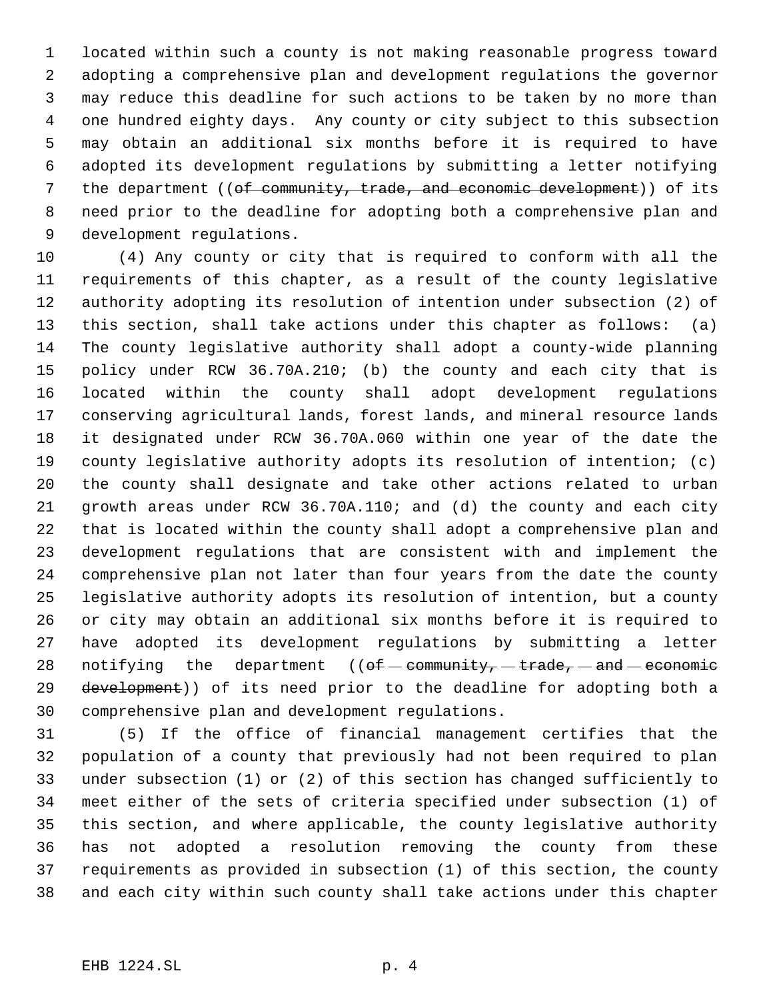located within such a county is not making reasonable progress toward adopting a comprehensive plan and development regulations the governor may reduce this deadline for such actions to be taken by no more than one hundred eighty days. Any county or city subject to this subsection may obtain an additional six months before it is required to have adopted its development regulations by submitting a letter notifying 7 the department ((of community, trade, and economic development)) of its need prior to the deadline for adopting both a comprehensive plan and development regulations.

 (4) Any county or city that is required to conform with all the requirements of this chapter, as a result of the county legislative authority adopting its resolution of intention under subsection (2) of this section, shall take actions under this chapter as follows: (a) The county legislative authority shall adopt a county-wide planning policy under RCW 36.70A.210; (b) the county and each city that is located within the county shall adopt development regulations conserving agricultural lands, forest lands, and mineral resource lands it designated under RCW 36.70A.060 within one year of the date the county legislative authority adopts its resolution of intention; (c) the county shall designate and take other actions related to urban growth areas under RCW 36.70A.110; and (d) the county and each city that is located within the county shall adopt a comprehensive plan and development regulations that are consistent with and implement the comprehensive plan not later than four years from the date the county legislative authority adopts its resolution of intention, but a county or city may obtain an additional six months before it is required to have adopted its development regulations by submitting a letter 28 notifying the department  $((of – community, – trade, – and – economic$ 29 development)) of its need prior to the deadline for adopting both a comprehensive plan and development regulations.

 (5) If the office of financial management certifies that the population of a county that previously had not been required to plan under subsection (1) or (2) of this section has changed sufficiently to meet either of the sets of criteria specified under subsection (1) of this section, and where applicable, the county legislative authority has not adopted a resolution removing the county from these requirements as provided in subsection (1) of this section, the county and each city within such county shall take actions under this chapter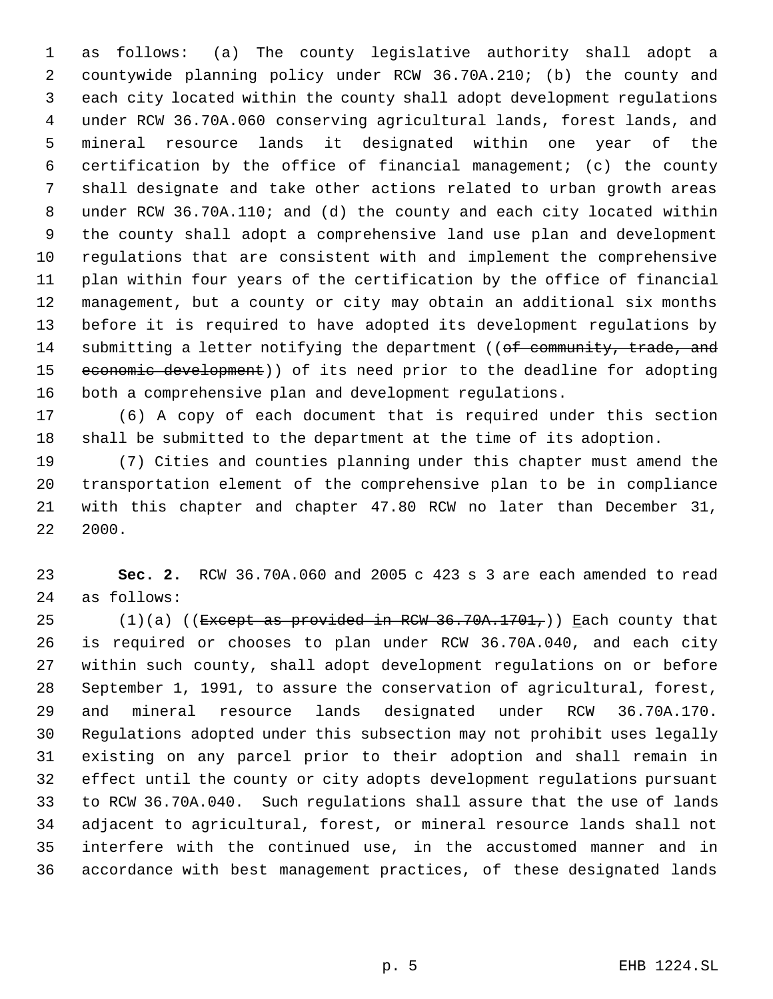as follows: (a) The county legislative authority shall adopt a countywide planning policy under RCW 36.70A.210; (b) the county and each city located within the county shall adopt development regulations under RCW 36.70A.060 conserving agricultural lands, forest lands, and mineral resource lands it designated within one year of the certification by the office of financial management; (c) the county shall designate and take other actions related to urban growth areas under RCW 36.70A.110; and (d) the county and each city located within the county shall adopt a comprehensive land use plan and development regulations that are consistent with and implement the comprehensive plan within four years of the certification by the office of financial management, but a county or city may obtain an additional six months before it is required to have adopted its development regulations by 14 submitting a letter notifying the department ((of community, trade, and 15 economic development)) of its need prior to the deadline for adopting both a comprehensive plan and development regulations.

 (6) A copy of each document that is required under this section shall be submitted to the department at the time of its adoption.

 (7) Cities and counties planning under this chapter must amend the transportation element of the comprehensive plan to be in compliance with this chapter and chapter 47.80 RCW no later than December 31, 2000.

 **Sec. 2.** RCW 36.70A.060 and 2005 c 423 s 3 are each amended to read as follows:

25 (1)(a) (( $\text{Except as provided in RCW } 36.70A.1701$ ,)) Each county that is required or chooses to plan under RCW 36.70A.040, and each city within such county, shall adopt development regulations on or before September 1, 1991, to assure the conservation of agricultural, forest, and mineral resource lands designated under RCW 36.70A.170. Regulations adopted under this subsection may not prohibit uses legally existing on any parcel prior to their adoption and shall remain in effect until the county or city adopts development regulations pursuant to RCW 36.70A.040. Such regulations shall assure that the use of lands adjacent to agricultural, forest, or mineral resource lands shall not interfere with the continued use, in the accustomed manner and in accordance with best management practices, of these designated lands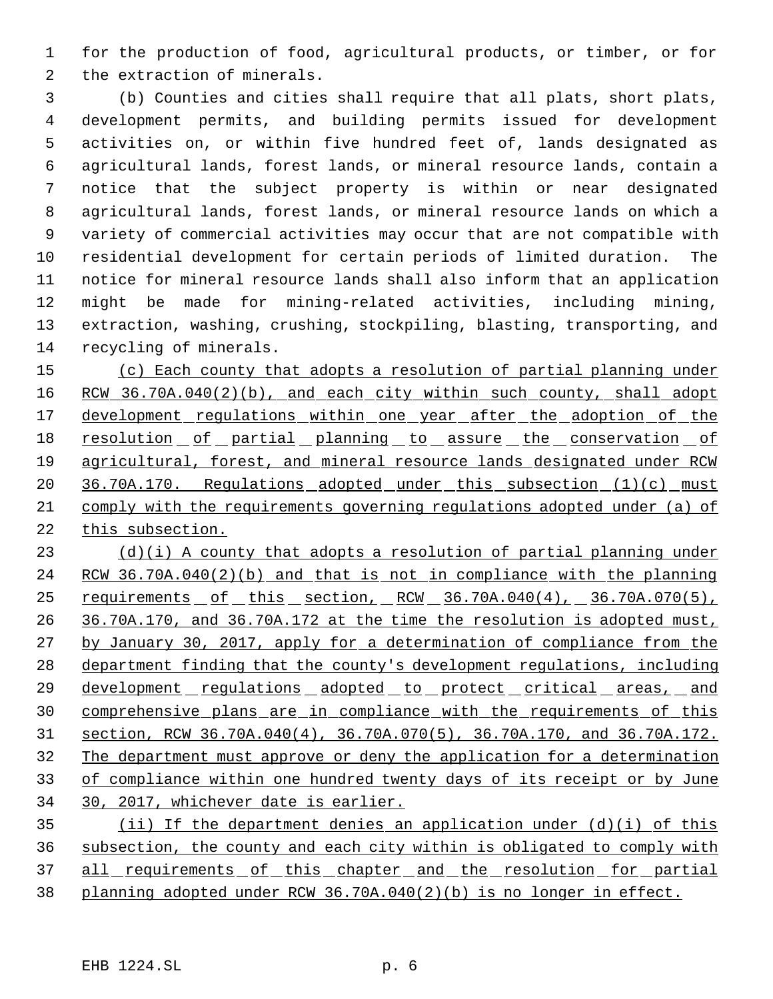for the production of food, agricultural products, or timber, or for the extraction of minerals.

 (b) Counties and cities shall require that all plats, short plats, development permits, and building permits issued for development activities on, or within five hundred feet of, lands designated as agricultural lands, forest lands, or mineral resource lands, contain a notice that the subject property is within or near designated agricultural lands, forest lands, or mineral resource lands on which a variety of commercial activities may occur that are not compatible with residential development for certain periods of limited duration. The notice for mineral resource lands shall also inform that an application might be made for mining-related activities, including mining, extraction, washing, crushing, stockpiling, blasting, transporting, and recycling of minerals.

 (c) Each county that adopts a resolution of partial planning under 16 RCW 36.70A.040(2)(b), and each city within such county, shall adopt 17 development regulations within one year after the adoption of the 18 resolution of partial planning to assure the conservation of agricultural, forest, and mineral resource lands designated under RCW 20 36.70A.170. Regulations adopted under this subsection (1)(c) must comply with the requirements governing regulations adopted under (a) of this subsection.

 $(d)(i)$  A county that adopts a resolution of partial planning under RCW 36.70A.040(2)(b) and that is not in compliance with the planning requirements of this section, RCW 36.70A.040(4), 36.70A.070(5), 26 36.70A.170, and 36.70A.172 at the time the resolution is adopted must, 27 by January 30, 2017, apply for a determination of compliance from the department finding that the county's development regulations, including 29 development regulations adopted to protect critical areas, and comprehensive plans are in compliance with the requirements of this section, RCW 36.70A.040(4), 36.70A.070(5), 36.70A.170, and 36.70A.172. The department must approve or deny the application for a determination of compliance within one hundred twenty days of its receipt or by June 30, 2017, whichever date is earlier.

 (ii) If the department denies an application under (d)(i) of this subsection, the county and each city within is obligated to comply with 37 all requirements of this chapter and the resolution for partial planning adopted under RCW 36.70A.040(2)(b) is no longer in effect.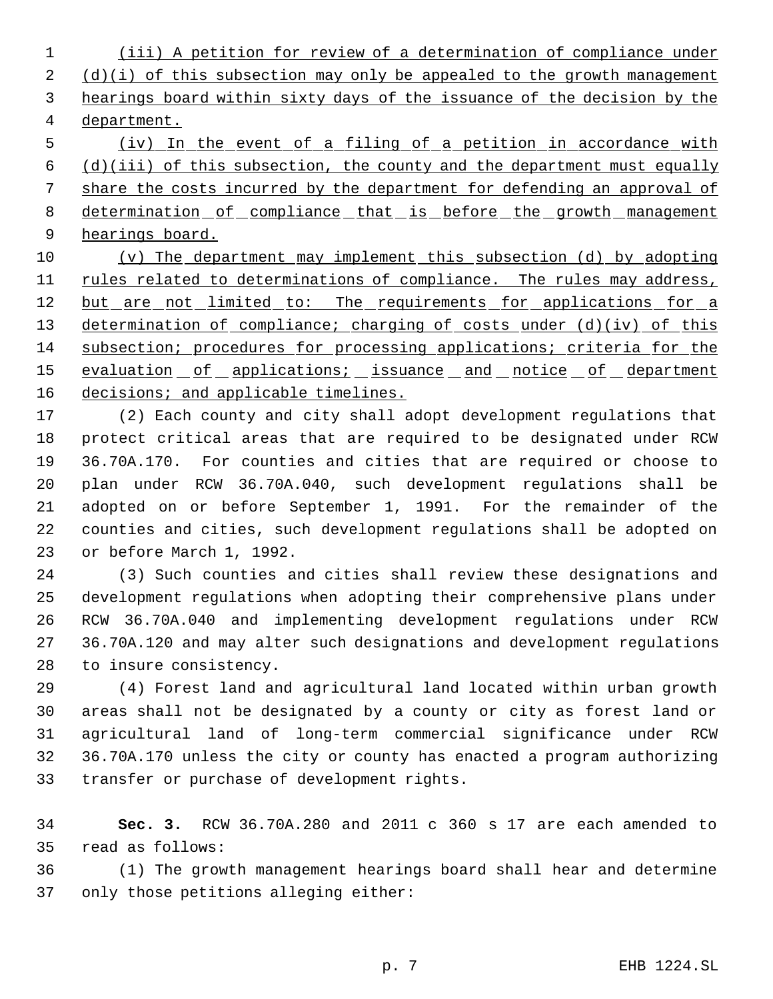(iii) A petition for review of a determination of compliance under  $(d)(i)$  of this subsection may only be appealed to the growth management hearings board within sixty days of the issuance of the decision by the department.

 (iv) In the event of a filing of a petition in accordance with  $(d)(iii)$  of this subsection, the county and the department must equally share the costs incurred by the department for defending an approval of 8 determination of compliance that is before the growth management hearings board.

 (v) The department may implement this subsection (d) by adopting 11 rules related to determinations of compliance. The rules may address, 12 but are not limited to: The requirements for applications for a 13 determination of compliance; charging of costs under (d)(iv) of this subsection; procedures for processing applications; criteria for the 15 evaluation of applications; issuance and notice of department 16 decisions; and applicable timelines.

 (2) Each county and city shall adopt development regulations that protect critical areas that are required to be designated under RCW 36.70A.170. For counties and cities that are required or choose to plan under RCW 36.70A.040, such development regulations shall be adopted on or before September 1, 1991. For the remainder of the counties and cities, such development regulations shall be adopted on or before March 1, 1992.

 (3) Such counties and cities shall review these designations and development regulations when adopting their comprehensive plans under RCW 36.70A.040 and implementing development regulations under RCW 36.70A.120 and may alter such designations and development regulations to insure consistency.

 (4) Forest land and agricultural land located within urban growth areas shall not be designated by a county or city as forest land or agricultural land of long-term commercial significance under RCW 36.70A.170 unless the city or county has enacted a program authorizing transfer or purchase of development rights.

 **Sec. 3.** RCW 36.70A.280 and 2011 c 360 s 17 are each amended to read as follows:

 (1) The growth management hearings board shall hear and determine only those petitions alleging either: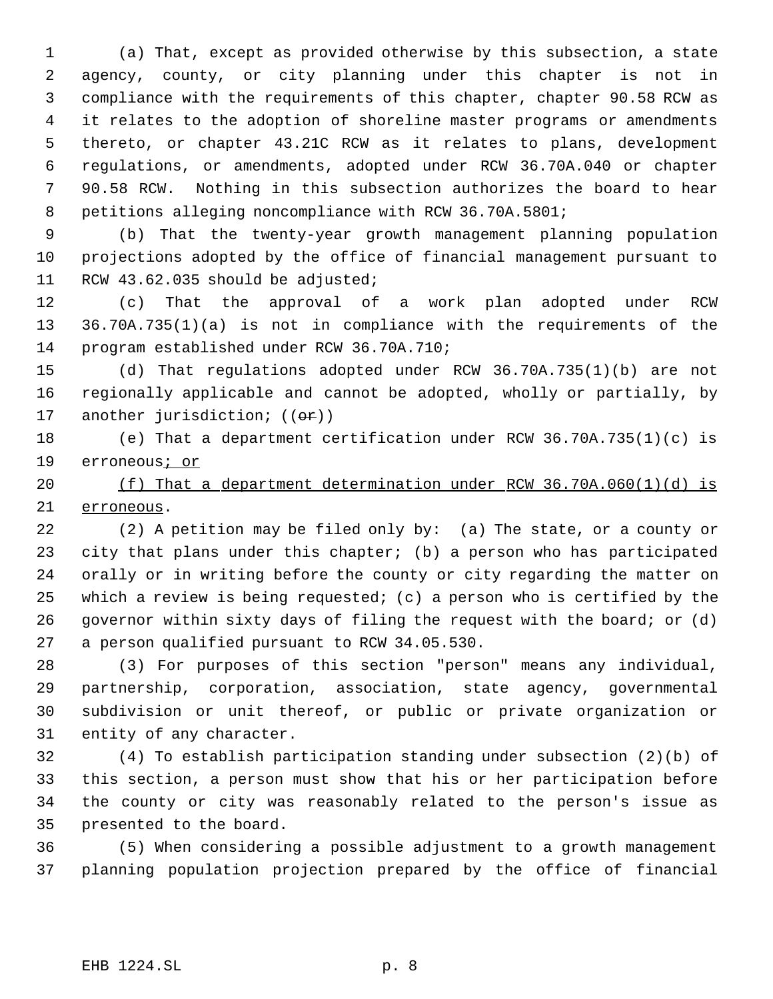(a) That, except as provided otherwise by this subsection, a state agency, county, or city planning under this chapter is not in compliance with the requirements of this chapter, chapter 90.58 RCW as it relates to the adoption of shoreline master programs or amendments thereto, or chapter 43.21C RCW as it relates to plans, development regulations, or amendments, adopted under RCW 36.70A.040 or chapter 90.58 RCW. Nothing in this subsection authorizes the board to hear petitions alleging noncompliance with RCW 36.70A.5801;

 (b) That the twenty-year growth management planning population projections adopted by the office of financial management pursuant to 11 RCW 43.62.035 should be adjusted;

 (c) That the approval of a work plan adopted under RCW 36.70A.735(1)(a) is not in compliance with the requirements of the program established under RCW 36.70A.710;

 (d) That regulations adopted under RCW 36.70A.735(1)(b) are not regionally applicable and cannot be adopted, wholly or partially, by 17 another jurisdiction;  $((\theta \cdot \mathbf{r}))$ 

 (e) That a department certification under RCW 36.70A.735(1)(c) is 19 erroneous<sub>i or</sub>

 (f) That a department determination under RCW 36.70A.060(1)(d) is erroneous.

 (2) A petition may be filed only by: (a) The state, or a county or city that plans under this chapter; (b) a person who has participated orally or in writing before the county or city regarding the matter on which a review is being requested; (c) a person who is certified by the governor within sixty days of filing the request with the board; or (d) a person qualified pursuant to RCW 34.05.530.

 (3) For purposes of this section "person" means any individual, partnership, corporation, association, state agency, governmental subdivision or unit thereof, or public or private organization or entity of any character.

 (4) To establish participation standing under subsection (2)(b) of this section, a person must show that his or her participation before the county or city was reasonably related to the person's issue as presented to the board.

 (5) When considering a possible adjustment to a growth management planning population projection prepared by the office of financial